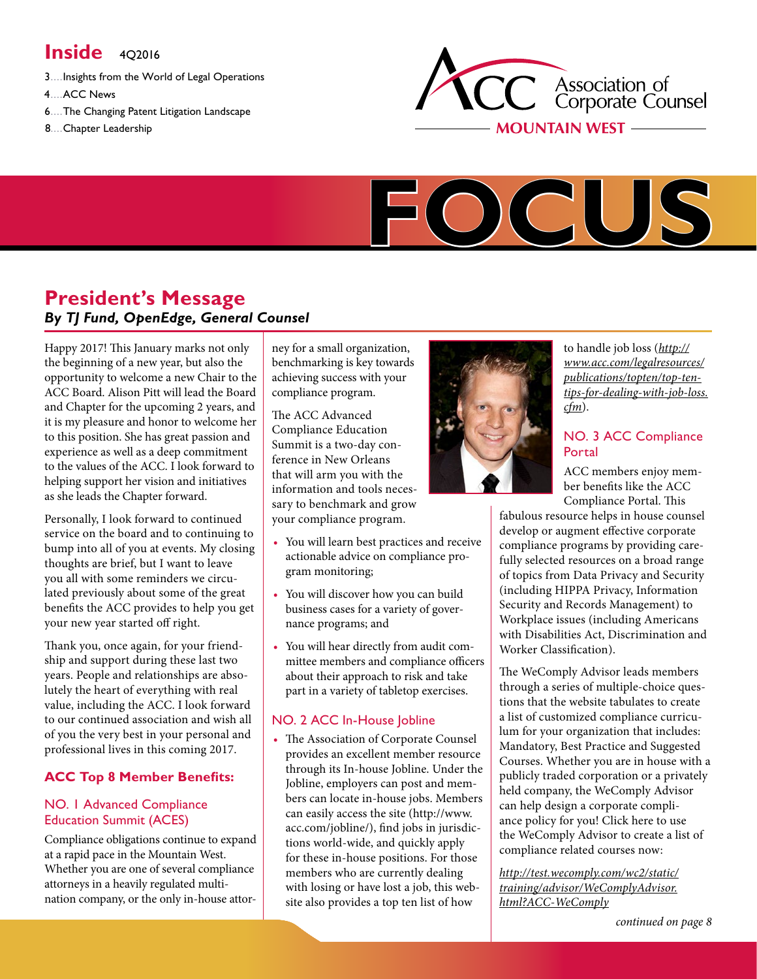# **Inside**  $402016$

- 3....Insights from the World of Legal Operations
- 4....ACC News
- 6....The Changing Patent Litigation Landscape
- 8....Chapter Leadership





# **President's Message** *By TJ Fund, OpenEdge, General Counsel*

Happy 2017! This January marks not only the beginning of a new year, but also the opportunity to welcome a new Chair to the ACC Board. Alison Pitt will lead the Board and Chapter for the upcoming 2 years, and it is my pleasure and honor to welcome her to this position. She has great passion and experience as well as a deep commitment to the values of the ACC. I look forward to helping support her vision and initiatives as she leads the Chapter forward.

Personally, I look forward to continued service on the board and to continuing to bump into all of you at events. My closing thoughts are brief, but I want to leave you all with some reminders we circulated previously about some of the great benefits the ACC provides to help you get your new year started off right.

Thank you, once again, for your friendship and support during these last two years. People and relationships are absolutely the heart of everything with real value, including the ACC. I look forward to our continued association and wish all of you the very best in your personal and professional lives in this coming 2017.

# **ACC Top 8 Member Benefits:**

#### NO. 1 Advanced Compliance Education Summit (ACES)

Compliance obligations continue to expand at a rapid pace in the Mountain West. Whether you are one of several compliance attorneys in a heavily regulated multination company, or the only in-house attor-

ney for a small organization, benchmarking is key towards achieving success with your compliance program.

The ACC Advanced Compliance Education Summit is a two-day conference in New Orleans that will arm you with the information and tools necessary to benchmark and grow your compliance program.

- You will learn best practices and receive actionable advice on compliance program monitoring;
- You will discover how you can build business cases for a variety of governance programs; and
- You will hear directly from audit committee members and compliance officers about their approach to risk and take part in a variety of tabletop exercises.

## NO. 2 ACC In-House Jobline

• The Association of Corporate Counsel provides an excellent member resource through its In-house Jobline. Under the Jobline, employers can post and members can locate in-house jobs. Members can easily access the site (http://www. acc.com/jobline/), find jobs in jurisdictions world-wide, and quickly apply for these in-house positions. For those members who are currently dealing with losing or have lost a job, this website also provides a top ten list of how



to handle job loss (*[http://](http://www.acc.com/legalresources/publications/topten/top-ten-tips-for-dealing-with-job-loss.cfm) [www.acc.com/legalresources/](http://www.acc.com/legalresources/publications/topten/top-ten-tips-for-dealing-with-job-loss.cfm) [publications/topten/top-ten](http://www.acc.com/legalresources/publications/topten/top-ten-tips-for-dealing-with-job-loss.cfm)[tips-for-dealing-with-job-loss.](http://www.acc.com/legalresources/publications/topten/top-ten-tips-for-dealing-with-job-loss.cfm) [cfm](http://www.acc.com/legalresources/publications/topten/top-ten-tips-for-dealing-with-job-loss.cfm)*).

### NO. 3 ACC Compliance Portal

ACC members enjoy member benefits like the ACC Compliance Portal. This

fabulous resource helps in house counsel develop or augment effective corporate compliance programs by providing carefully selected resources on a broad range of topics from Data Privacy and Security (including HIPPA Privacy, Information Security and Records Management) to Workplace issues (including Americans with Disabilities Act, Discrimination and Worker Classification).

The WeComply Advisor leads members through a series of multiple-choice questions that the website tabulates to create a list of customized compliance curriculum for your organization that includes: Mandatory, Best Practice and Suggested Courses. Whether you are in house with a publicly traded corporation or a privately held company, the WeComply Advisor can help design a corporate compliance policy for you! Click here to use the WeComply Advisor to create a list of compliance related courses now:

*[http://test.wecomply.com/wc2/static/](http://test.wecomply.com/wc2/static/training/advisor/WeComplyAdvisor.html?ACC-WeComply) [training/advisor/WeComplyAdvisor.](http://test.wecomply.com/wc2/static/training/advisor/WeComplyAdvisor.html?ACC-WeComply) [html?ACC-WeComply](http://test.wecomply.com/wc2/static/training/advisor/WeComplyAdvisor.html?ACC-WeComply)*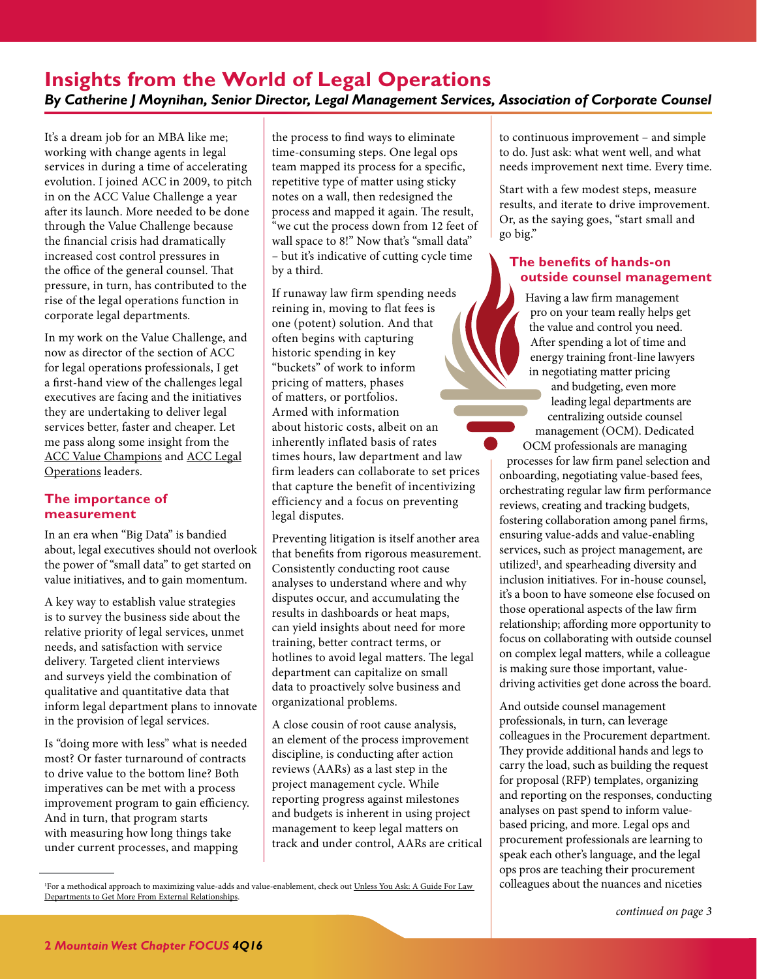# <span id="page-1-0"></span>**Insights from the World of Legal Operations** *By Catherine J Moynihan, Senior Director, Legal Management Services, Association of Corporate Counsel*

It's a dream job for an MBA like me; working with change agents in legal services in during a time of accelerating evolution. I joined ACC in 2009, to pitch in on the ACC Value Challenge a year after its launch. More needed to be done through the Value Challenge because the financial crisis had dramatically increased cost control pressures in the office of the general counsel. That pressure, in turn, has contributed to the rise of the legal operations function in corporate legal departments.

In my work on the Value Challenge, and now as director of the section of ACC for legal operations professionals, I get a first-hand view of the challenges legal executives are facing and the initiatives they are undertaking to deliver legal services better, faster and cheaper. Let me pass along some insight from the [ACC Value Champions](http://www.acc.com/valuechampions) and [ACC Legal](http://www.acc.com/legalops) [Operations](http://www.acc.com/legalops) leaders.

#### **The importance of measurement**

In an era when "Big Data" is bandied about, legal executives should not overlook the power of "small data" to get started on value initiatives, and to gain momentum.

A key way to establish value strategies is to survey the business side about the relative priority of legal services, unmet needs, and satisfaction with service delivery. Targeted client interviews and surveys yield the combination of qualitative and quantitative data that inform legal department plans to innovate in the provision of legal services.

Is "doing more with less" what is needed most? Or faster turnaround of contracts to drive value to the bottom line? Both imperatives can be met with a process improvement program to gain efficiency. And in turn, that program starts with measuring how long things take under current processes, and mapping

the process to find ways to eliminate time-consuming steps. One legal ops team mapped its process for a specific, repetitive type of matter using sticky notes on a wall, then redesigned the process and mapped it again. The result, "we cut the process down from 12 feet of wall space to 8!" Now that's "small data" – but it's indicative of cutting cycle time by a third.

If runaway law firm spending needs reining in, moving to flat fees is one (potent) solution. And that often begins with capturing historic spending in key "buckets" of work to inform pricing of matters, phases of matters, or portfolios. Armed with information about historic costs, albeit on an inherently inflated basis of rates times hours, law department and law firm leaders can collaborate to set prices that capture the benefit of incentivizing efficiency and a focus on preventing legal disputes.

Preventing litigation is itself another area that benefits from rigorous measurement. Consistently conducting root cause analyses to understand where and why disputes occur, and accumulating the results in dashboards or heat maps, can yield insights about need for more training, better contract terms, or hotlines to avoid legal matters. The legal department can capitalize on small data to proactively solve business and organizational problems.

A close cousin of root cause analysis, an element of the process improvement discipline, is conducting after action reviews (AARs) as a last step in the project management cycle. While reporting progress against milestones and budgets is inherent in using project management to keep legal matters on track and under control, AARs are critical to continuous improvement – and simple to do. Just ask: what went well, and what needs improvement next time. Every time.

Start with a few modest steps, measure results, and iterate to drive improvement. Or, as the saying goes, "start small and go big."

#### **The benefits of hands-on outside counsel management**

Having a law firm management pro on your team really helps get the value and control you need. After spending a lot of time and energy training front-line lawyers in negotiating matter pricing

and budgeting, even more leading legal departments are centralizing outside counsel management (OCM). Dedicated OCM professionals are managing

processes for law firm panel selection and onboarding, negotiating value-based fees, orchestrating regular law firm performance reviews, creating and tracking budgets, fostering collaboration among panel firms, ensuring value-adds and value-enabling services, such as project management, are utilized<sup>1</sup>, and spearheading diversity and inclusion initiatives. For in-house counsel, it's a boon to have someone else focused on those operational aspects of the law firm relationship; affording more opportunity to focus on collaborating with outside counsel on complex legal matters, while a colleague is making sure those important, valuedriving activities get done across the board.

And outside counsel management professionals, in turn, can leverage colleagues in the Procurement department. They provide additional hands and legs to carry the load, such as building the request for proposal (RFP) templates, organizing and reporting on the responses, conducting analyses on past spend to inform valuebased pricing, and more. Legal ops and procurement professionals are learning to speak each other's language, and the legal ops pros are teaching their procurement colleagues about the nuances and niceties

<sup>1</sup>For a methodical approach to maximizing value-adds and value-enablement, check out <u>Unless You Ask: A Guide For Law</u> [Departments to Get More From External Relationships](http://www.acc.com/legalresources/resource.cfm?show=1432511).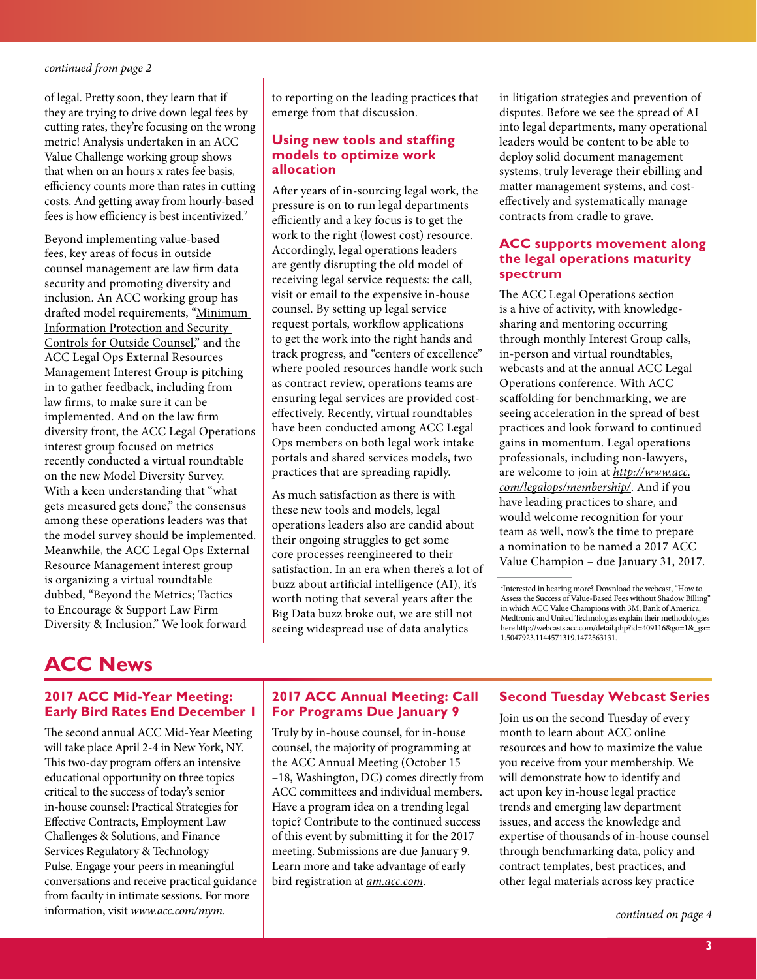<span id="page-2-0"></span>of legal. Pretty soon, they learn that if they are trying to drive down legal fees by cutting rates, they're focusing on the wrong metric! Analysis undertaken in an ACC Value Challenge working group shows that when on an hours x rates fee basis, efficiency counts more than rates in cutting costs. And getting away from hourly-based fees is how efficiency is best incentivized.2

Beyond implementing value-based fees, key areas of focus in outside counsel management are law firm data security and promoting diversity and inclusion. An ACC working group has drafted model requirements, "[Minimum](http://www.acc.com/advocacy/upload/Minimum-Information-Protection-and-Security-Controls-for-Outside-Counsel-draft-Fall-2016.pdf)  [Information Protection and Security](http://www.acc.com/advocacy/upload/Minimum-Information-Protection-and-Security-Controls-for-Outside-Counsel-draft-Fall-2016.pdf)  [Controls for Outside Counsel,](http://www.acc.com/advocacy/upload/Minimum-Information-Protection-and-Security-Controls-for-Outside-Counsel-draft-Fall-2016.pdf)" and the ACC Legal Ops External Resources Management Interest Group is pitching in to gather feedback, including from law firms, to make sure it can be implemented. And on the law firm diversity front, the ACC Legal Operations interest group focused on metrics recently conducted a virtual roundtable on the new Model Diversity Survey. With a keen understanding that "what gets measured gets done," the consensus among these operations leaders was that the model survey should be implemented. Meanwhile, the ACC Legal Ops External Resource Management interest group is organizing a virtual roundtable dubbed, "Beyond the Metrics; Tactics to Encourage & Support Law Firm Diversity & Inclusion." We look forward

to reporting on the leading practices that emerge from that discussion.

#### **Using new tools and staffing models to optimize work allocation**

After years of in-sourcing legal work, the pressure is on to run legal departments efficiently and a key focus is to get the work to the right (lowest cost) resource. Accordingly, legal operations leaders are gently disrupting the old model of receiving legal service requests: the call, visit or email to the expensive in-house counsel. By setting up legal service request portals, workflow applications to get the work into the right hands and track progress, and "centers of excellence" where pooled resources handle work such as contract review, operations teams are ensuring legal services are provided costeffectively. Recently, virtual roundtables have been conducted among ACC Legal Ops members on both legal work intake portals and shared services models, two practices that are spreading rapidly.

As much satisfaction as there is with these new tools and models, legal operations leaders also are candid about their ongoing struggles to get some core processes reengineered to their satisfaction. In an era when there's a lot of buzz about artificial intelligence (AI), it's worth noting that several years after the Big Data buzz broke out, we are still not seeing widespread use of data analytics

in litigation strategies and prevention of disputes. Before we see the spread of AI into legal departments, many operational leaders would be content to be able to deploy solid document management systems, truly leverage their ebilling and matter management systems, and costeffectively and systematically manage contracts from cradle to grave.

#### **ACC supports movement along the legal operations maturity spectrum**

The [ACC Legal Operations](http://www.acc.com/legalops) section is a hive of activity, with knowledgesharing and mentoring occurring through monthly Interest Group calls, in-person and virtual roundtables, webcasts and at the annual ACC Legal Operations conference. With ACC scaffolding for benchmarking, we are seeing acceleration in the spread of best practices and look forward to continued gains in momentum. Legal operations professionals, including non-lawyers, are welcome to join at *[http://www.acc.](http://www.acc.com/legalops/membership/) [com/legalops/membership/](http://www.acc.com/legalops/membership/)*. And if you have leading practices to share, and would welcome recognition for your team as well, now's the time to prepare a nomination to be named a 2017 ACC Value Champion – due January 31, 2017.

# <span id="page-2-1"></span>**ACC News**

#### **2017 ACC Mid-Year Meeting: Early Bird Rates End December 1**

The second annual ACC Mid-Year Meeting will take place April 2-4 in New York, NY. This two-day program offers an intensive educational opportunity on three topics critical to the success of today's senior in-house counsel: Practical Strategies for Effective Contracts, Employment Law Challenges & Solutions, and Finance Services Regulatory & Technology Pulse. Engage your peers in meaningful conversations and receive practical guidance from faculty in intimate sessions. For more information, visit *www.acc.com/mym*.

#### **2017 ACC Annual Meeting: Call For Programs Due January 9**

Truly by in-house counsel, for in-house counsel, the majority of programming at the ACC Annual Meeting (October 15 –18, Washington, DC) comes directly from ACC committees and individual members. Have a program idea on a trending legal topic? Contribute to the continued success of this event by submitting it for the 2017 meeting. Submissions are due January 9. Learn more and take advantage of early bird registration at *am.acc.com*.

#### **Second Tuesday Webcast Series**

Join us on the second Tuesday of every month to learn about ACC online resources and how to maximize the value you receive from your membership. We will demonstrate how to identify and act upon key in-house legal practice trends and emerging law department issues, and access the knowledge and expertise of thousands of in-house counsel through benchmarking data, policy and contract templates, best practices, and other legal materials across key practice

*[continued on page 4](#page-3-0)*

<sup>2</sup> Interested in hearing more? Download the webcast, "How to Assess the Success of Value-Based Fees without Shadow Billing" in which ACC Value Champions with 3M, Bank of America, Medtronic and United Technologies explain their methodologies here [http://webcasts.acc.com/detail.php?id=409116&go=1&\\_ga=](http://webcasts.acc.com/detail.php?id=409116&go=1&_ga=1.5047923.1144571319.1472563131) [1.5047923.1144571319.1472563131.](http://webcasts.acc.com/detail.php?id=409116&go=1&_ga=1.5047923.1144571319.1472563131)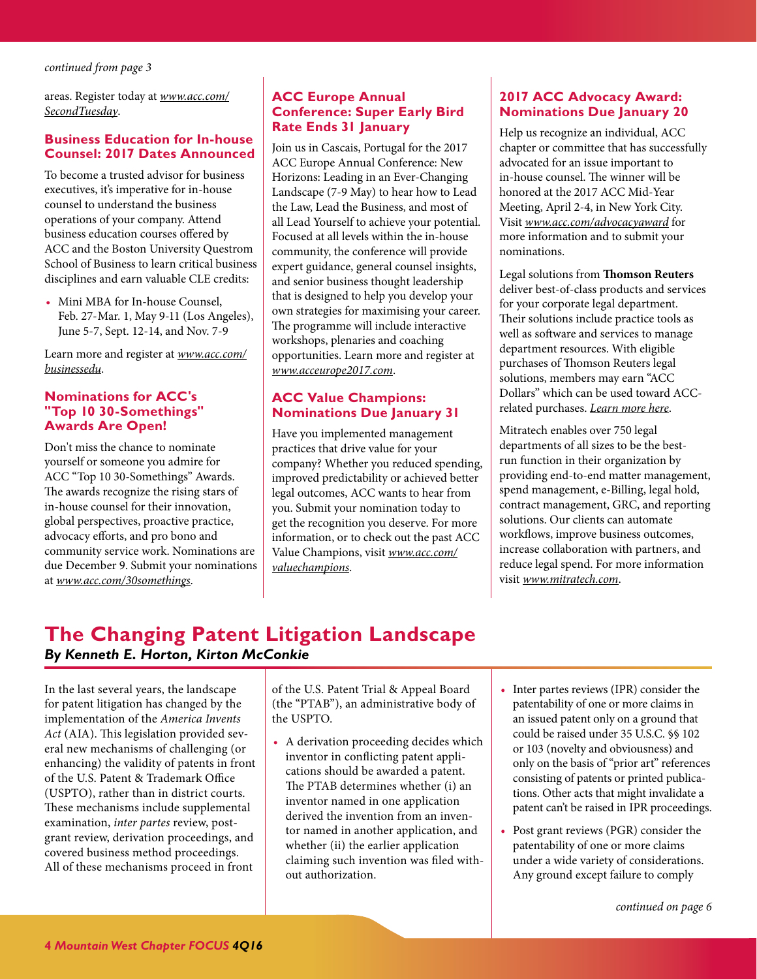<span id="page-3-0"></span>areas. Register today at *[www.acc.com/](http://www.acc.com/membership/onsite-ed.cfm) [SecondTuesday](http://www.acc.com/membership/onsite-ed.cfm)*.

#### **Business Education for In-house Counsel: 2017 Dates Announced**

To become a trusted advisor for business executives, it's imperative for in-house counsel to understand the business operations of your company. Attend business education courses offered by ACC and the Boston University Questrom School of Business to learn critical business disciplines and earn valuable CLE credits:

• Mini MBA for In-house Counsel, Feb. 27-Mar. 1, May 9-11 (Los Angeles), June 5-7, Sept. 12-14, and Nov. 7-9

Learn more and register at *[www.acc.com/](http://www.acc.com/education/businessedu/index.cfm) [businessedu](http://www.acc.com/education/businessedu/index.cfm)*.

#### **Nominations for ACC's "Top 10 30-Somethings" Awards Are Open!**

Don't miss the chance to nominate yourself or someone you admire for ACC "Top 10 30-Somethings" Awards. The awards recognize the rising stars of in-house counsel for their innovation, global perspectives, proactive practice, advocacy efforts, and pro bono and community service work. Nominations are due December 9. Submit your nominations at *www.acc.com/30somethings*.

#### **ACC Europe Annual Conference: Super Early Bird Rate Ends 31 January**

Join us in Cascais, Portugal for the 2017 ACC Europe Annual Conference: New Horizons: Leading in an Ever-Changing Landscape (7-9 May) to hear how to Lead the Law, Lead the Business, and most of all Lead Yourself to achieve your potential. Focused at all levels within the in-house community, the conference will provide expert guidance, general counsel insights, and senior business thought leadership that is designed to help you develop your own strategies for maximising your career. The programme will include interactive workshops, plenaries and coaching opportunities. Learn more and register at *www.acceurope2017.com*.

#### **ACC Value Champions: Nominations Due January 31**

Have you implemented management practices that drive value for your company? Whether you reduced spending, improved predictability or achieved better legal outcomes, ACC wants to hear from you. Submit your nomination today to get the recognition you deserve. For more information, or to check out the past ACC Value Champions, visit *[www.acc.com/](http://www.acc.com/valuechallenge/valuechamps/) [valuechampions](http://www.acc.com/valuechallenge/valuechamps/)*.

#### **2017 ACC Advocacy Award: Nominations Due January 20**

Help us recognize an individual, ACC chapter or committee that has successfully advocated for an issue important to in-house counsel. The winner will be honored at the 2017 ACC Mid-Year Meeting, April 2-4, in New York City. Visit *[www.acc.com/advocacyaward](http://www.acc.com/aboutacc/history/advocacy-award.cfm)* for more information and to submit your nominations.

Legal solutions from **[Thomson Reuters](http://legalsolutions.thomsonreuters.com/law-products/practice/general-counsel)** deliver best-of-class products and services for your corporate legal department. Their solutions include practice tools as well as software and services to manage department resources. With eligible purchases of Thomson Reuters legal solutions, members may earn "ACC Dollars" which can be used toward ACCrelated purchases. *[Learn more here](http://legalsolutions.thomsonreuters.com/law-products/practice/general-counsel)*.

Mitratech enables over 750 legal departments of all sizes to be the bestrun function in their organization by providing end-to-end matter management, spend management, e-Billing, legal hold, contract management, GRC, and reporting solutions. Our clients can automate workflows, improve business outcomes, increase collaboration with partners, and reduce legal spend. For more information visit *[www.mitratech.com](http://www.mitratech.com)*.

# <span id="page-3-1"></span>**The Changing Patent Litigation Landscape** *By Kenneth E. Horton, Kirton McConkie*

In the last several years, the landscape for patent litigation has changed by the implementation of the *America Invents Act* (AIA). This legislation provided several new mechanisms of challenging (or enhancing) the validity of patents in front of the U.S. Patent & Trademark Office (USPTO), rather than in district courts. These mechanisms include supplemental examination, *inter partes* review, postgrant review, derivation proceedings, and covered business method proceedings. All of these mechanisms proceed in front

of the U.S. Patent Trial & Appeal Board (the "PTAB"), an administrative body of the USPTO.

- A derivation proceeding decides which inventor in conflicting patent applications should be awarded a patent. The PTAB determines whether (i) an inventor named in one application derived the invention from an inventor named in another application, and whether (ii) the earlier application claiming such invention was filed without authorization.
- Inter partes reviews (IPR) consider the patentability of one or more claims in an issued patent only on a ground that could be raised under 35 U.S.C. §§ 102 or 103 (novelty and obviousness) and only on the basis of "prior art" references consisting of patents or printed publications. Other acts that might invalidate a patent can't be raised in IPR proceedings.
- Post grant reviews (PGR) consider the patentability of one or more claims under a wide variety of considerations. Any ground except failure to comply

*[continued on page 6](#page-5-0)*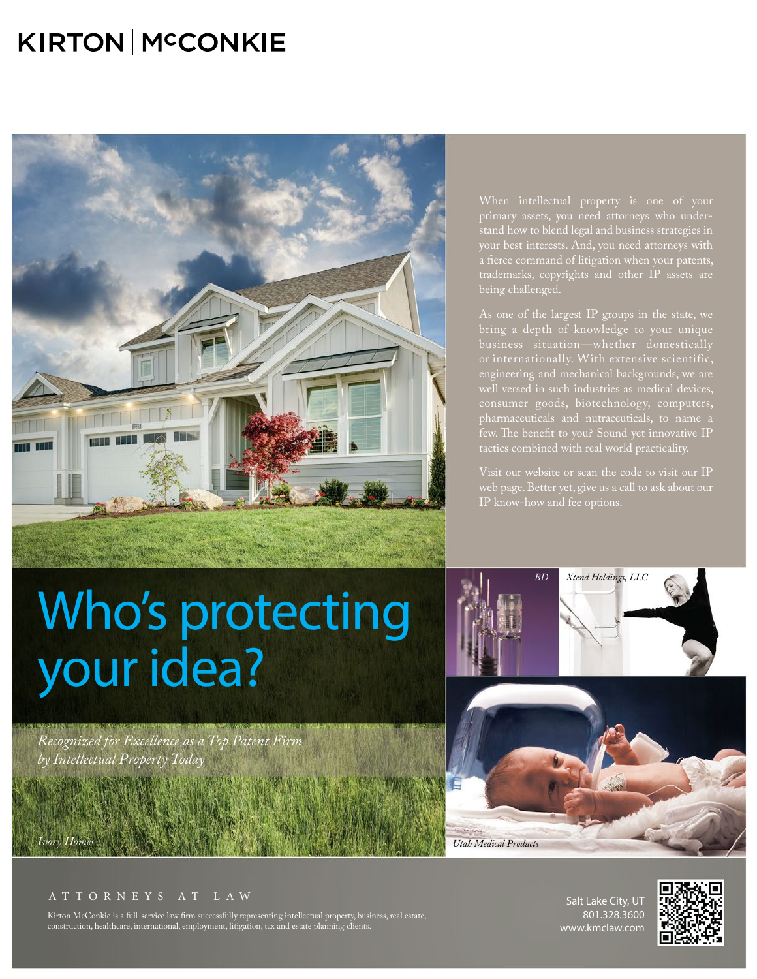# KIRTON MCCONKIE



When intellectual property is one of your primary assets, you need attorneys who understand how to blend legal and business strategies in a fierce command of litigation when your patents, trademarks, copyrights and other IP assets are being challenged.

bring a depth of knowledge to your unique business situation—whether domestically or internationally. With extensive scientific, engineering and mechanical backgrounds, we are consumer goods, biotechnology, computers,

Visit our website or scan the code to visit our IP web page. Better yet, give us a call to ask about our

# Who's protecting your idea?

*Recognized for Excellence as a Top Patent Firm by Intellectual Property Today*



AT TORNEYS AT LAW

Kirton McConkie is a full-service law firm successfully representing intellectual property, business, real estate, construction, healthcare, international, employment, litigation, tax and estate planning clients.

Salt Lake City, UT 801.328.3600 www.kmclaw.com

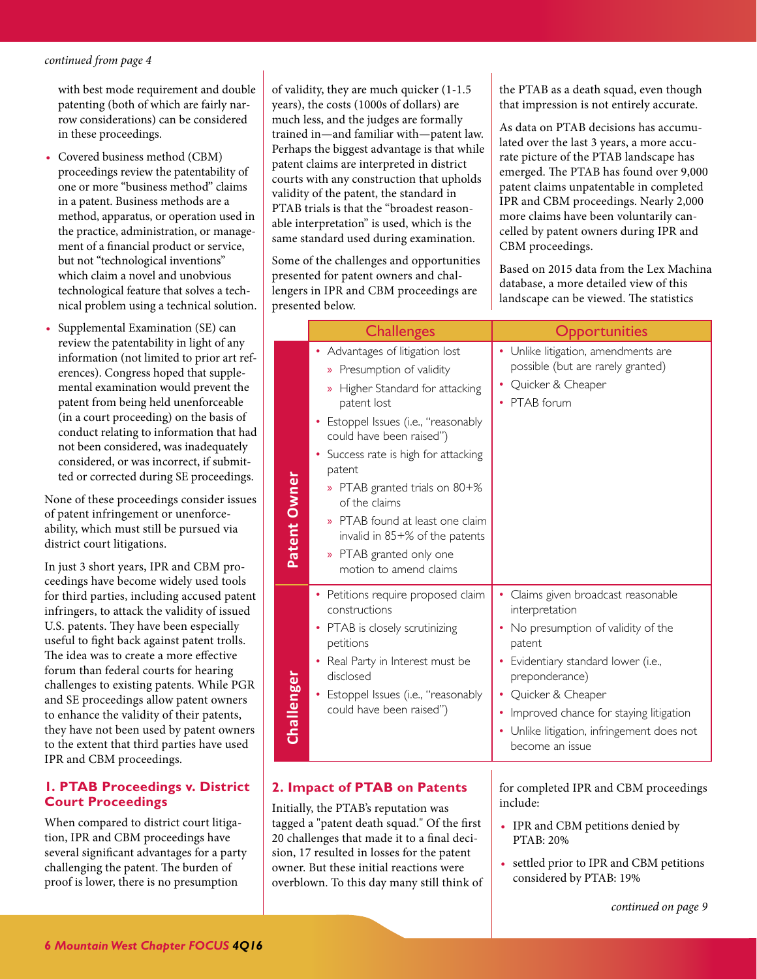<span id="page-5-0"></span>with best mode requirement and double patenting (both of which are fairly narrow considerations) can be considered in these proceedings.

- Covered business method (CBM) proceedings review the patentability of one or more "business method" claims in a patent. Business methods are a method, apparatus, or operation used in the practice, administration, or management of a financial product or service, but not "technological inventions" which claim a novel and unobvious technological feature that solves a technical problem using a technical solution.
- Supplemental Examination (SE) can review the patentability in light of any information (not limited to prior art references). Congress hoped that supplemental examination would prevent the patent from being held unenforceable (in a court proceeding) on the basis of conduct relating to information that had not been considered, was inadequately considered, or was incorrect, if submitted or corrected during SE proceedings.

None of these proceedings consider issues of patent infringement or unenforceability, which must still be pursued via district court litigations.

In just 3 short years, IPR and CBM proceedings have become widely used tools for third parties, including accused patent infringers, to attack the validity of issued U.S. patents. They have been especially useful to fight back against patent trolls. The idea was to create a more effective forum than federal courts for hearing challenges to existing patents. While PGR and SE proceedings allow patent owners to enhance the validity of their patents, they have not been used by patent owners to the extent that third parties have used IPR and CBM proceedings.

#### **1. PTAB Proceedings v. District Court Proceedings**

When compared to district court litigation, IPR and CBM proceedings have several significant advantages for a party challenging the patent. The burden of proof is lower, there is no presumption

of validity, they are much quicker (1-1.5 years), the costs (1000s of dollars) are much less, and the judges are formally trained in—and familiar with—patent law. Perhaps the biggest advantage is that while patent claims are interpreted in district courts with any construction that upholds validity of the patent, the standard in PTAB trials is that the "broadest reasonable interpretation" is used, which is the same standard used during examination.

Some of the challenges and opportunities presented for patent owners and challengers in IPR and CBM proceedings are presented below.

the PTAB as a death squad, even though that impression is not entirely accurate.

As data on PTAB decisions has accumulated over the last 3 years, a more accurate picture of the PTAB landscape has emerged. The PTAB has found over 9,000 patent claims unpatentable in completed IPR and CBM proceedings. Nearly 2,000 more claims have been voluntarily cancelled by patent owners during IPR and CBM proceedings.

Based on 2015 data from the Lex Machina database, a more detailed view of this landscape can be viewed. The statistics

|              | <b>Challenges</b>                                                                                                                                                                                                                                                                                                                                                                                            | <b>Opportunities</b>                                                                                                                                                                                                                                                                    |
|--------------|--------------------------------------------------------------------------------------------------------------------------------------------------------------------------------------------------------------------------------------------------------------------------------------------------------------------------------------------------------------------------------------------------------------|-----------------------------------------------------------------------------------------------------------------------------------------------------------------------------------------------------------------------------------------------------------------------------------------|
| Patent Owner | • Advantages of litigation lost<br>» Presumption of validity<br>» Higher Standard for attacking<br>patent lost<br>Estoppel Issues (i.e., "reasonably<br>could have been raised")<br>Success rate is high for attacking<br>patent<br>» PTAB granted trials on 80+%<br>of the claims<br>» PTAB found at least one claim<br>invalid in 85+% of the patents<br>» PTAB granted only one<br>motion to amend claims | Unlike litigation, amendments are<br>possible (but are rarely granted)<br>Quicker & Cheaper<br>PTAB forum                                                                                                                                                                               |
| Challenger   | • Petitions require proposed claim<br>constructions<br>• PTAB is closely scrutinizing<br>petitions<br>Real Party in Interest must be<br>disclosed<br>Estoppel Issues (i.e., "reasonably<br>٠<br>could have been raised")                                                                                                                                                                                     | Claims given broadcast reasonable<br>interpretation<br>No presumption of validity of the<br>patent<br>Evidentiary standard lower (i.e.,<br>preponderance)<br>Quicker & Cheaper<br>Improved chance for staying litigation<br>Unlike litigation, infringement does not<br>become an issue |

#### **2. Impact of PTAB on Patents**

Initially, the PTAB's reputation was tagged a "patent death squad." Of the first 20 challenges that made it to a final decision, 17 resulted in losses for the patent owner. But these initial reactions were overblown. To this day many still think of for completed IPR and CBM proceedings include:

- IPR and CBM petitions denied by PTAB: 20%
- settled prior to IPR and CBM petitions considered by PTAB: 19%

*[continued on page 9](#page-8-0)*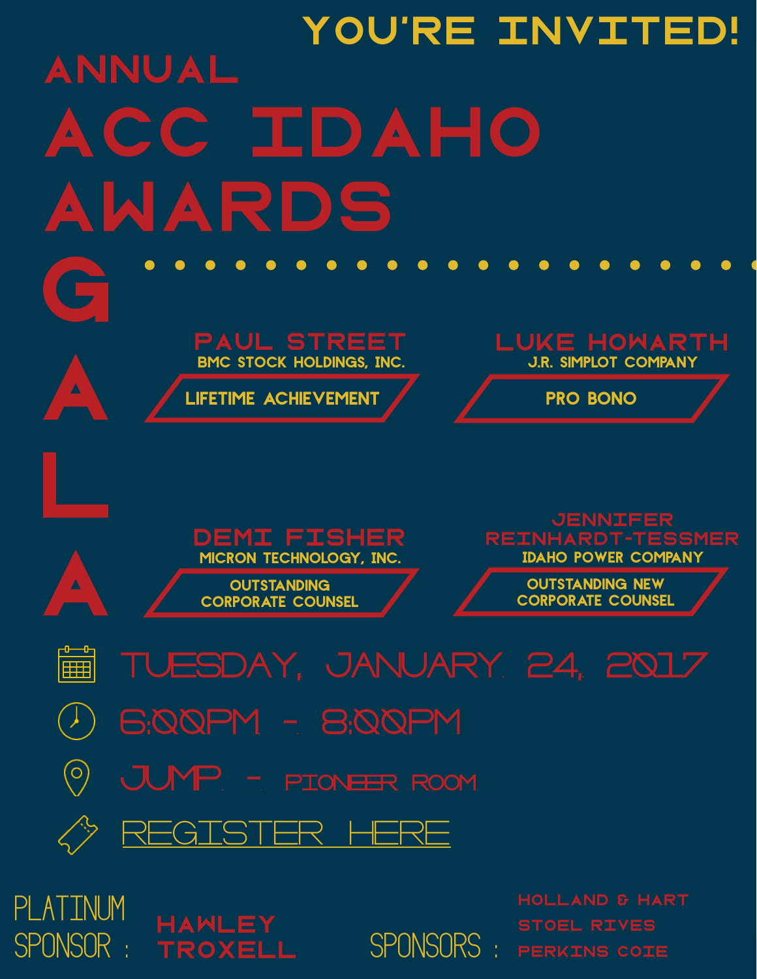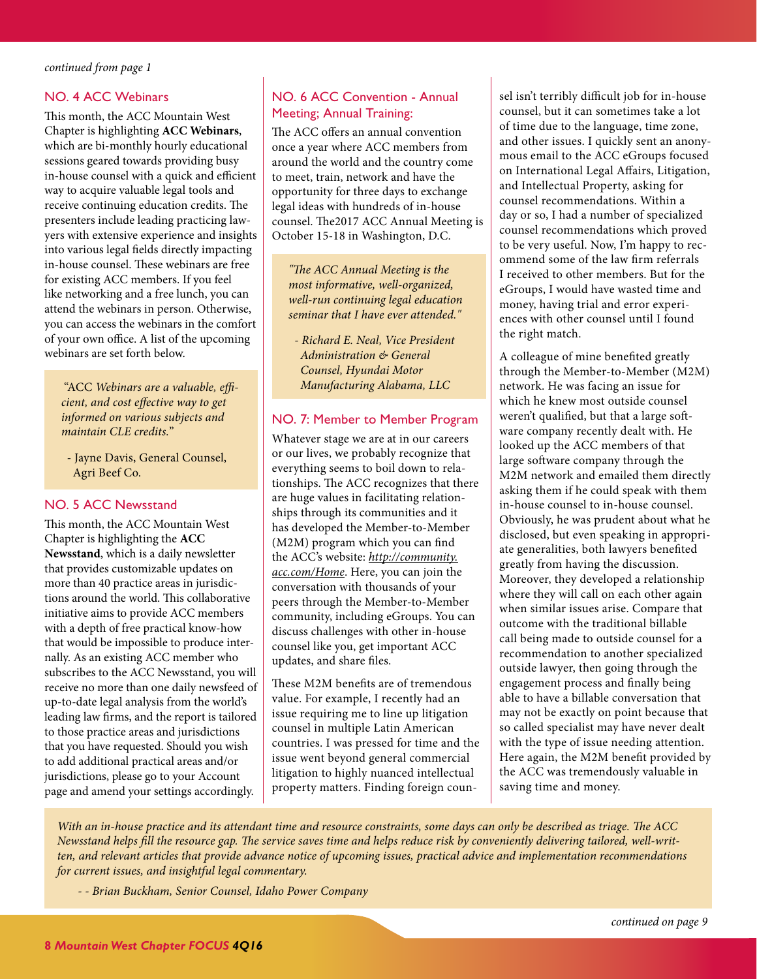#### <span id="page-7-0"></span>NO. 4 ACC Webinars

This month, the ACC Mountain West Chapter is highlighting **ACC Webinars**, which are bi-monthly hourly educational sessions geared towards providing busy in-house counsel with a quick and efficient way to acquire valuable legal tools and receive continuing education credits. The presenters include leading practicing lawyers with extensive experience and insights into various legal fields directly impacting in-house counsel. These webinars are free for existing ACC members. If you feel like networking and a free lunch, you can attend the webinars in person. Otherwise, you can access the webinars in the comfort of your own office. A list of the upcoming webinars are set forth below.

 "ACC *Webinars are a valuable, efficient, and cost effective way to get informed on various subjects and maintain CLE credits.*"

 - Jayne Davis, General Counsel, Agri Beef Co.

#### NO. 5 ACC Newsstand

This month, the ACC Mountain West Chapter is highlighting the **ACC Newsstand**, which is a daily newsletter that provides customizable updates on more than 40 practice areas in jurisdictions around the world. This collaborative initiative aims to provide ACC members with a depth of free practical know-how that would be impossible to produce internally. As an existing ACC member who subscribes to the ACC Newsstand, you will receive no more than one daily newsfeed of up-to-date legal analysis from the world's leading law firms, and the report is tailored to those practice areas and jurisdictions that you have requested. Should you wish to add additional practical areas and/or jurisdictions, please go to your Account page and amend your settings accordingly.

#### NO. 6 ACC Convention - Annual Meeting; Annual Training:

The ACC offers an annual convention once a year where ACC members from around the world and the country come to meet, train, network and have the opportunity for three days to exchange legal ideas with hundreds of in-house counsel. The2017 ACC Annual Meeting is October 15-18 in Washington, D.C.

*"The ACC Annual Meeting is the most informative, well-organized, well-run continuing legal education seminar that I have ever attended."*

 *- Richard E. Neal, Vice President Administration & General Counsel, Hyundai Motor Manufacturing Alabama, LLC*

#### NO. 7: Member to Member Program

Whatever stage we are at in our careers or our lives, we probably recognize that everything seems to boil down to relationships. The ACC recognizes that there are huge values in facilitating relationships through its communities and it has developed the Member-to-Member (M2M) program which you can find the ACC's website: *[http://community.](http://community.acc.com/Home) [acc.com/Home](http://community.acc.com/Home)*. Here, you can join the conversation with thousands of your peers through the Member-to-Member community, including eGroups. You can discuss challenges with other in-house counsel like you, get important ACC updates, and share files.

These M2M benefits are of tremendous value. For example, I recently had an issue requiring me to line up litigation counsel in multiple Latin American countries. I was pressed for time and the issue went beyond general commercial litigation to highly nuanced intellectual property matters. Finding foreign counsel isn't terribly difficult job for in-house counsel, but it can sometimes take a lot of time due to the language, time zone, and other issues. I quickly sent an anonymous email to the ACC eGroups focused on International Legal Affairs, Litigation, and Intellectual Property, asking for counsel recommendations. Within a day or so, I had a number of specialized counsel recommendations which proved to be very useful. Now, I'm happy to recommend some of the law firm referrals I received to other members. But for the eGroups, I would have wasted time and money, having trial and error experiences with other counsel until I found the right match.

A colleague of mine benefited greatly through the Member-to-Member (M2M) network. He was facing an issue for which he knew most outside counsel weren't qualified, but that a large software company recently dealt with. He looked up the ACC members of that large software company through the M2M network and emailed them directly asking them if he could speak with them in-house counsel to in-house counsel. Obviously, he was prudent about what he disclosed, but even speaking in appropriate generalities, both lawyers benefited greatly from having the discussion. Moreover, they developed a relationship where they will call on each other again when similar issues arise. Compare that outcome with the traditional billable call being made to outside counsel for a recommendation to another specialized outside lawyer, then going through the engagement process and finally being able to have a billable conversation that may not be exactly on point because that so called specialist may have never dealt with the type of issue needing attention. Here again, the M2M benefit provided by the ACC was tremendously valuable in saving time and money.

*With an in-house practice and its attendant time and resource constraints, some days can only be described as triage. The ACC Newsstand helps fill the resource gap. The service saves time and helps reduce risk by conveniently delivering tailored, well-written, and relevant articles that provide advance notice of upcoming issues, practical advice and implementation recommendations for current issues, and insightful legal commentary.* 

 *- - Brian Buckham, Senior Counsel, Idaho Power Company*